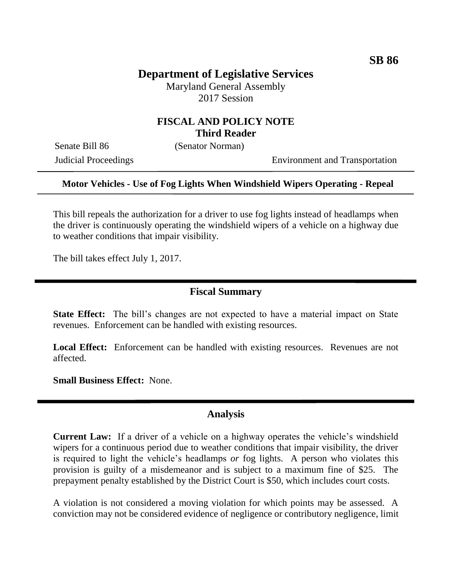# **Department of Legislative Services**

Maryland General Assembly 2017 Session

## **FISCAL AND POLICY NOTE Third Reader**

Senate Bill 86 (Senator Norman)

Judicial Proceedings Environment and Transportation

### **Motor Vehicles - Use of Fog Lights When Windshield Wipers Operating - Repeal**

This bill repeals the authorization for a driver to use fog lights instead of headlamps when the driver is continuously operating the windshield wipers of a vehicle on a highway due to weather conditions that impair visibility.

The bill takes effect July 1, 2017.

### **Fiscal Summary**

**State Effect:** The bill's changes are not expected to have a material impact on State revenues. Enforcement can be handled with existing resources.

**Local Effect:** Enforcement can be handled with existing resources. Revenues are not affected.

**Small Business Effect:** None.

### **Analysis**

**Current Law:** If a driver of a vehicle on a highway operates the vehicle's windshield wipers for a continuous period due to weather conditions that impair visibility, the driver is required to light the vehicle's headlamps *or* fog lights. A person who violates this provision is guilty of a misdemeanor and is subject to a maximum fine of \$25. The prepayment penalty established by the District Court is \$50, which includes court costs.

A violation is not considered a moving violation for which points may be assessed. A conviction may not be considered evidence of negligence or contributory negligence, limit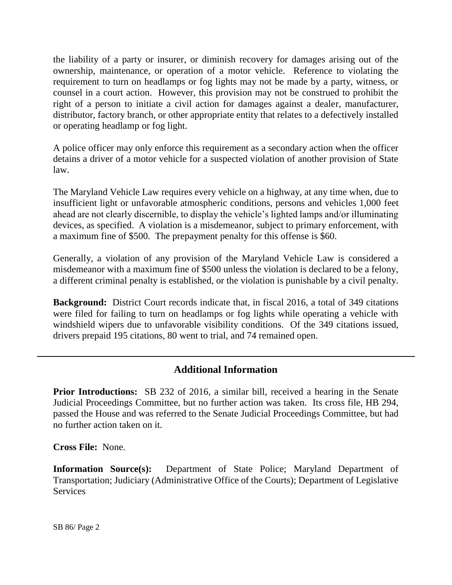the liability of a party or insurer, or diminish recovery for damages arising out of the ownership, maintenance, or operation of a motor vehicle. Reference to violating the requirement to turn on headlamps or fog lights may not be made by a party, witness, or counsel in a court action. However, this provision may not be construed to prohibit the right of a person to initiate a civil action for damages against a dealer, manufacturer, distributor, factory branch, or other appropriate entity that relates to a defectively installed or operating headlamp or fog light.

A police officer may only enforce this requirement as a secondary action when the officer detains a driver of a motor vehicle for a suspected violation of another provision of State law.

The Maryland Vehicle Law requires every vehicle on a highway, at any time when, due to insufficient light or unfavorable atmospheric conditions, persons and vehicles 1,000 feet ahead are not clearly discernible, to display the vehicle's lighted lamps and/or illuminating devices, as specified. A violation is a misdemeanor, subject to primary enforcement, with a maximum fine of \$500. The prepayment penalty for this offense is \$60.

Generally, a violation of any provision of the Maryland Vehicle Law is considered a misdemeanor with a maximum fine of \$500 unless the violation is declared to be a felony, a different criminal penalty is established, or the violation is punishable by a civil penalty.

**Background:** District Court records indicate that, in fiscal 2016, a total of 349 citations were filed for failing to turn on headlamps or fog lights while operating a vehicle with windshield wipers due to unfavorable visibility conditions. Of the 349 citations issued, drivers prepaid 195 citations, 80 went to trial, and 74 remained open.

## **Additional Information**

**Prior Introductions:** SB 232 of 2016, a similar bill, received a hearing in the Senate Judicial Proceedings Committee, but no further action was taken. Its cross file, HB 294, passed the House and was referred to the Senate Judicial Proceedings Committee, but had no further action taken on it.

**Cross File:** None.

**Information Source(s):** Department of State Police; Maryland Department of Transportation; Judiciary (Administrative Office of the Courts); Department of Legislative **Services**